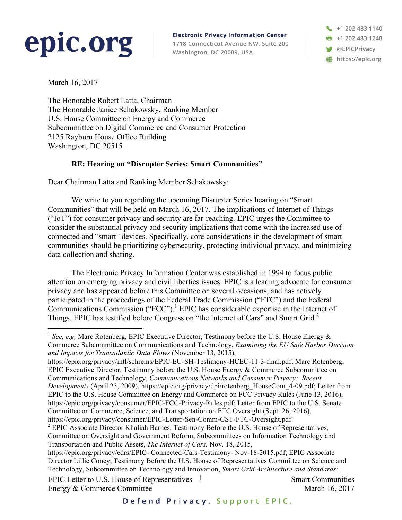## epic.org

**Electronic Privacy Information Center** 1718 Connecticut Avenue NW, Suite 200 Washington, DC 20009, USA

+1 202 483 1140  $\frac{1}{2}$  +1 202 483 1248 **W** @EPICPrivacy https://epic.org

March 16, 2017

The Honorable Robert Latta, Chairman The Honorable Janice Schakowsky, Ranking Member U.S. House Committee on Energy and Commerce Subcommittee on Digital Commerce and Consumer Protection 2125 Rayburn House Office Building Washington, DC 20515

## **RE: Hearing on "Disrupter Series: Smart Communities"**

Dear Chairman Latta and Ranking Member Schakowsky:

We write to you regarding the upcoming Disrupter Series hearing on "Smart Communities" that will be held on March 16, 2017. The implications of Internet of Things ("IoT") for consumer privacy and security are far-reaching. EPIC urges the Committee to consider the substantial privacy and security implications that come with the increased use of connected and "smart" devices. Specifically, core considerations in the development of smart communities should be prioritizing cybersecurity, protecting individual privacy, and minimizing data collection and sharing.

The Electronic Privacy Information Center was established in 1994 to focus public attention on emerging privacy and civil liberties issues. EPIC is a leading advocate for consumer privacy and has appeared before this Committee on several occasions, and has actively participated in the proceedings of the Federal Trade Commission ("FTC") and the Federal  $\Gamma$ Communications Commission ("FCC").<sup>1</sup> EPIC has considerable expertise in the Internet of Things. EPIC has testified before Congress on "the Internet of Cars" and Smart Grid.<sup>2</sup>

EPIC Letter to U.S. House of Representatives 1 Smart Communities Energy & Commerce Committee March 16, 2017

<sup>&</sup>lt;sup>1</sup> See, e.g, Marc Rotenberg, EPIC Executive Director, Testimony before the U.S. House Energy  $\&$ Commerce Subcommittee on Communications and Technology, *Examining the EU Safe Harbor Decision and Impacts for Transatlantic Data Flows* (November 13, 2015),

https://epic.org/privacy/intl/schrems/EPIC-EU-SH-Testimony-HCEC-11-3-final.pdf; Marc Rotenberg, EPIC Executive Director, Testimony before the U.S. House Energy & Commerce Subcommittee on Communications and Technology, *Communications Networks and Consumer Privacy: Recent Developments* (April 23, 2009), https://epic.org/privacy/dpi/rotenberg\_HouseCom\_4-09.pdf; Letter from EPIC to the U.S. House Committee on Energy and Commerce on FCC Privacy Rules (June 13, 2016), https://epic.org/privacy/consumer/EPIC-FCC-Privacy-Rules.pdf; Letter from EPIC to the U.S. Senate Committee on Commerce, Science, and Transportation on FTC Oversight (Sept. 26, 2016), https://epic.org/privacy/consumer/EPIC-Letter-Sen-Comm-CST-FTC-Oversight.pdf.<br><sup>2</sup> EPIC Associate Director Khaliah Barnes, Testimony Before the U.S. House of Representatives,

Committee on Oversight and Government Reform, Subcommittees on Information Technology and Transportation and Public Assets, *The Internet of Cars.* Nov. 18, 2015,

https://epic.org/privacy/edrs/EPIC- Connected-Cars-Testimony- Nov-18-2015.pdf; EPIC Associate Director Lillie Coney, Testimony Before the U.S. House of Representatives Committee on Science and Technology, Subcommittee on Technology and Innovation, *Smart Grid Architecture and Standards:*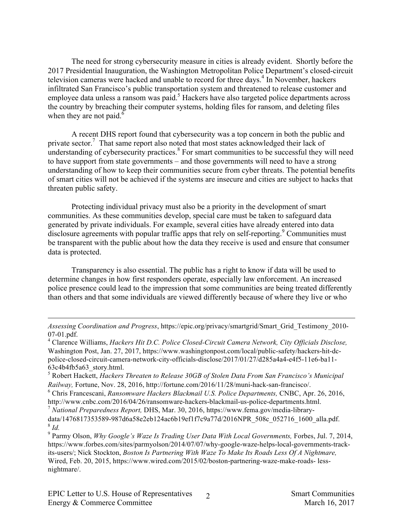The need for strong cybersecurity measure in cities is already evident. Shortly before the 2017 Presidential Inauguration, the Washington Metropolitan Police Department's closed-circuit television cameras were hacked and unable to record for three days.<sup>4</sup> In November, hackers infiltrated San Francisco's public transportation system and threatened to release customer and employee data unless a ransom was paid.<sup>5</sup> Hackers have also targeted police departments across the country by breaching their computer systems, holding files for ransom, and deleting files when they are not paid. $<sup>6</sup>$ </sup>

A recent DHS report found that cybersecurity was a top concern in both the public and private sector.<sup>7</sup> That same report also noted that most states acknowledged their lack of understanding of cybersecurity practices. $8$  For smart communities to be successful they will need to have support from state governments – and those governments will need to have a strong understanding of how to keep their communities secure from cyber threats. The potential benefits of smart cities will not be achieved if the systems are insecure and cities are subject to hacks that threaten public safety.

Protecting individual privacy must also be a priority in the development of smart communities. As these communities develop, special care must be taken to safeguard data generated by private individuals. For example, several cities have already entered into data disclosure agreements with popular traffic apps that rely on self-reporting. $\degree$  Communities must be transparent with the public about how the data they receive is used and ensure that consumer data is protected.

Transparency is also essential. The public has a right to know if data will be used to determine changes in how first responders operate, especially law enforcement. An increased police presence could lead to the impression that some communities are being treated differently than others and that some individuals are viewed differently because of where they live or who

 $\overline{a}$ 

*Assessing Coordination and Progress*, https://epic.org/privacy/smartgrid/Smart\_Grid\_Testimony\_2010- 07-01.pdf.<br><sup>4</sup> Clarence Williams, *Hackers Hit D.C. Police Closed-Circuit Camera Network, City Officials Disclose,* 

Washington Post, Jan. 27, 2017, https://www.washingtonpost.com/local/public-safety/hackers-hit-dcpolice-closed-circuit-camera-network-city-officials-disclose/2017/01/27/d285a4a4-e4f5-11e6-ba11-

<sup>63</sup>c4b4fb5a63\_story.html. <sup>5</sup> Robert Hackett, *Hackers Threaten to Release 30GB of Stolen Data From San Francisco's Municipal Railway,* Fortune, Nov. 28, 2016, http://fortune.com/2016/11/28/muni-hack-san-francisco/.

<sup>6</sup> Chris Francescani, *Ransomware Hackers Blackmail U.S. Police Departments,* CNBC, Apr. 26, 2016, http://www.cnbc.com/2016/04/26/ransomware-hackers-blackmail-us-police-departments.html.

<sup>7</sup> *National Preparedness Report,* DHS, Mar. 30, 2016, https://www.fema.gov/media-librarydata/1476817353589-987d6a58e2eb124ac6b19ef1f7c9a77d/2016NPR\_508c\_052716\_1600\_alla.pdf. 8 *Id.* 

<sup>&</sup>lt;sup>9</sup> Parmy Olson, *Why Google's Waze Is Trading User Data With Local Governments, Forbes, Jul. 7, 2014,* https://www.forbes.com/sites/parmyolson/2014/07/07/why-google-waze-helps-local-governments-trackits-users/; Nick Stockton, *Boston Is Partnering With Waze To Make Its Roads Less Of A Nightmare,*  Wired, Feb. 20, 2015, https://www.wired.com/2015/02/boston-partnering-waze-make-roads- lessnightmare/.